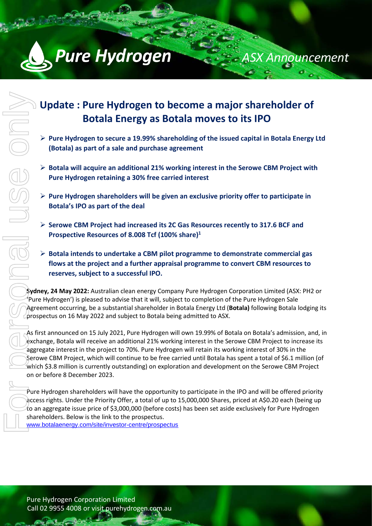

# **Update : Pure Hydrogen to become a major shareholder of Botala Energy as Botala moves to its IPO**

*ASX Announcement*

- $\triangleright$  Pure Hydrogen to secure a 19.99% shareholding of the issued capital in Botala Energy Ltd **(Botala) as part of a sale and purchase agreement**
- **Botala will acquire an additional 21% working interest in the Serowe CBM Project with Pure Hydrogen retaining a 30% free carried interest**
- **Pure Hydrogen shareholders will be given an exclusive priority offer to participate in Botala's IPO as part of the deal**
- **Serowe CBM Project had increased its 2C Gas Resources recently to 317.6 BCF and Prospective Resources of 8.008 Tcf (100% share)1**
- **Botala intends to undertake a CBM pilot programme to demonstrate commercial gas flows at the project and a further appraisal programme to convert CBM resources to reserves, subject to a successful IPO.**

**Sydney, 24 May 2022:** Australian clean energy Company Pure Hydrogen Corporation Limited (ASX: PH2 or 'Pure Hydrogen') is pleased to advise that it will, subject to completion of the Pure Hydrogen Sale Agreement occurring, be a substantial shareholder in Botala Energy Ltd (**Botala)** following Botala lodging its prospectus on 16 May 2022 and subject to Botala being admitted to ASX.

As first announced on 15 July 2021, Pure Hydrogen will own 19.99% of Botala on Botala's admission, and, in exchange, Botala will receive an additional 21% working interest in the Serowe CBM Project to increase its aggregate interest in the project to 70%. Pure Hydrogen will retain its working interest of 30% in the Serowe CBM Project, which will continue to be free carried until Botala has spent a total of \$6.1 million (of which \$3.8 million is currently outstanding) on exploration and development on the Serowe CBM Project on or before 8 December 2023.

Pure Hydrogen shareholders will have the opportunity to participate in the IPO and will be offered priority access rights. Under the Priority Offer, a total of up to 15,000,000 Shares, priced at A\$0.20 each (being up to an aggregate issue price of \$3,000,000 (before costs) has been set aside exclusively for Pure Hydrogen shareholders. Below is the link to the prospectus. www.botalaenergy.com/site/investor-centre/prospectus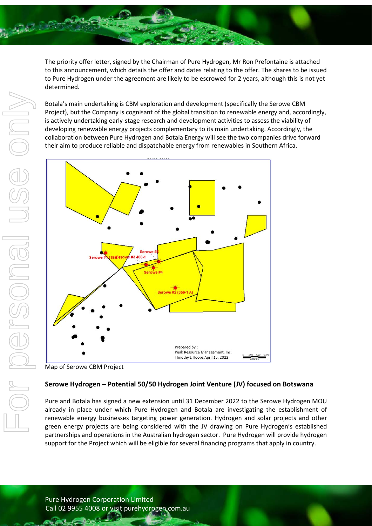

The priority offer letter, signed by the Chairman of Pure Hydrogen, Mr Ron Prefontaine is attached to this announcement, which details the offer and dates relating to the offer. The shares to be issued to Pure Hydrogen under the agreement are likely to be escrowed for 2 years, although this is not yet determined.

Botala's main undertaking is CBM exploration and development (specifically the Serowe CBM Project), but the Company is cognisant of the global transition to renewable energy and, accordingly, is actively undertaking early-stage research and development activities to assess the viability of developing renewable energy projects complementary to its main undertaking. Accordingly, the collaboration between Pure Hydrogen and Botala Energy will see the two companies drive forward their aim to produce reliable and dispatchable energy from renewables in Southern Africa.



Map of Serowe CBM Project

# **Serowe Hydrogen – Potential 50/50 Hydrogen Joint Venture (JV) focused on Botswana**

Pure and Botala has signed a new extension until 31 December 2022 to the Serowe Hydrogen MOU already in place under which Pure Hydrogen and Botala are investigating the establishment of renewable energy businesses targeting power generation. Hydrogen and solar projects and other green energy projects are being considered with the JV drawing on Pure Hydrogen's established partnerships and operations in the Australian hydrogen sector. Pure Hydrogen will provide hydrogen support for the Project which will be eligible for several financing programs that apply in country.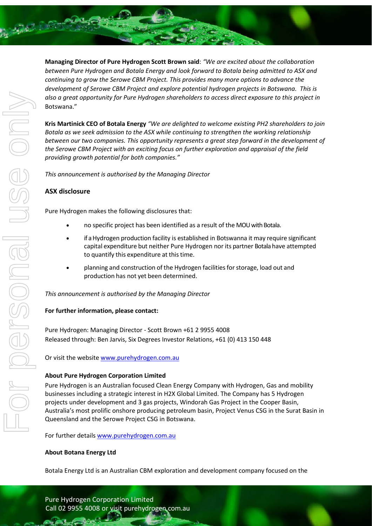

**Managing Director of Pure Hydrogen Scott Brown said**: *"We are excited about the collaboration between Pure Hydrogen and Botala Energy and look forward to Botala being admitted to ASX and continuing to grow the Serowe CBM Project. This provides many more options to advance the development of Serowe CBM Project and explore potential hydrogen projects in Botswana. This is also a great opportunity for Pure Hydrogen shareholders to access direct exposure to this project in*  Botswana."

**Kris Martinick CEO of Botala Energy** *"We are delighted to welcome existing PH2 shareholders to join Botala as we seek admission to the ASX while continuing to strengthen the working relationship between our two companies. This opportunity represents a great step forward in the development of the Serowe CBM Project with an exciting focus on further exploration and appraisal of the field providing growth potential for both companies."* 

*This announcement is authorised by the Managing Director*

# **ASX disclosure**

Pure Hydrogen makes the following disclosures that:

- no specific project has been identified as a result of the MOUwith Botala.
- if a Hydrogen production facility is established in Botswanna it may require significant capital expenditure but neither Pure Hydrogen nor its partner Botala have attempted to quantify this expenditure at this time.
- planning and construction of the Hydrogen facilities for storage, load out and production has not yet been determined.

*This announcement is authorised by the Managing Director*

#### **For further information, please contact:**

Pure Hydrogen: Managing Director - Scott Brown +61 2 9955 4008 Released through: Ben Jarvis, Six Degrees Investor Relations, +61 (0) 413 150 448

Or visit the website [www.purehydrogen.com.au](http://www.purehydrogen.com.au/)

#### **About Pure Hydrogen Corporation Limited**

Pure Hydrogen is an Australian focused Clean Energy Company with Hydrogen, Gas and mobility businesses including a strategic interest in H2X Global Limited. The Company has 5 Hydrogen projects under development and 3 gas projects, Windorah Gas Project in the Cooper Basin, Australia's most prolific onshore producing petroleum basin, Project Venus CSG in the Surat Basin in Queensland and the Serowe Project CSG in Botswana.

For further detail[s www.purehydrogen.com.au](http://www.purehydrogen.com.au/)

#### **About Botana Energy Ltd**

Botala Energy Ltd is an Australian CBM exploration and development company focused on the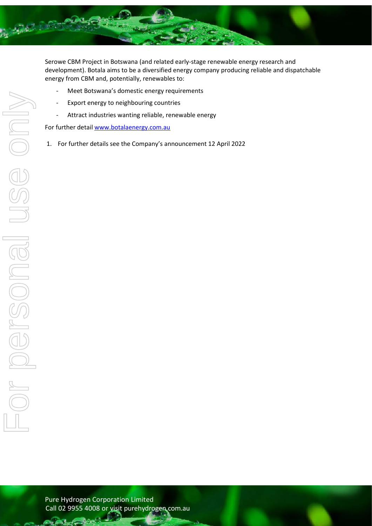

Serowe CBM Project in Botswana (and related early-stage renewable energy research and development). Botala aims to be a diversified energy company producing reliable and dispatchable energy from CBM and, potentially, renewables to:

- Meet Botswana's domestic energy requirements
- Export energy to neighbouring countries
- Attract industries wanting reliable, renewable energy

For further detail [www.botalaenergy.com.au](http://www.botalaenergy.com.au/)

1. For further details see the Company's announcement 12 April 2022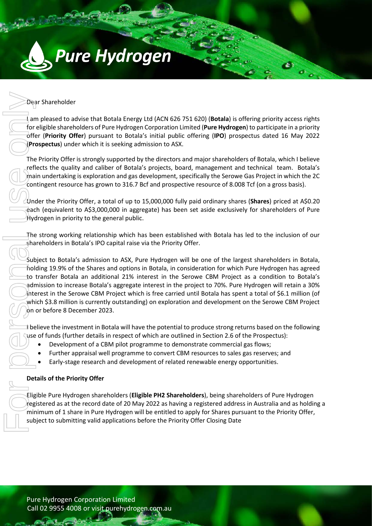

# Dear Shareholder

I am pleased to advise that Botala Energy Ltd (ACN 626 751 620) (**Botala**) is offering priority access rights for eligible shareholders of Pure Hydrogen Corporation Limited (**Pure Hydrogen**) to participate in a priority offer (**Priority Offer**) pursuant to Botala's initial public offering (**IPO**) prospectus dated 16 May 2022 (**Prospectus**) under which it is seeking admission to ASX.

 $\mathbf{c}$ 

 $\sigma_{\alpha}$ 

The Priority Offer is strongly supported by the directors and major shareholders of Botala, which I believe reflects the quality and caliber of Botala's projects, board, management and technical team. Botala's  $\phi$  main undertaking is exploration and gas development, specifically the Serowe Gas Project in which the 2C contingent resource has grown to 316.7 Bcf and prospective resource of 8.008 Tcf (on a gross basis).

Under the Priority Offer, a total of up to 15,000,000 fully paid ordinary shares (**Shares**) priced at A\$0.20 each (equivalent to A\$3,000,000 in aggregate) has been set aside exclusively for shareholders of Pure Hydrogen in priority to the general public.

The strong working relationship which has been established with Botala has led to the inclusion of our shareholders in Botala's IPO capital raise via the Priority Offer.

Subject to Botala's admission to ASX, Pure Hydrogen will be one of the largest shareholders in Botala, holding 19.9% of the Shares and options in Botala, in consideration for which Pure Hydrogen has agreed to transfer Botala an additional 21% interest in the Serowe CBM Project as a condition to Botala's admission to increase Botala's aggregate interest in the project to 70%. Pure Hydrogen will retain a 30% interest in the Serowe CBM Project which is free carried until Botala has spent a total of \$6.1 million (of which \$3.8 million is currently outstanding) on exploration and development on the Serowe CBM Project on or before 8 December 2023. Subject to advise that Botala Energy Ltd (ACN 626 751 620) (Botala) is Coreligible shareholders of Drue Hydroger Corporation Limited (Pure Hydroger Corporation Limited (Pure Hydroger Corporation Limited (Pure Hydroger) (Pr

I believe the investment in Botala will have the potential to produce strong returns based on the following use of funds (further details in respect of which are outlined in Section 2.6 of the Prospectus):

- Development of a CBM pilot programme to demonstrate commercial gas flows;
- Further appraisal well programme to convert CBM resources to sales gas reserves; and
- Early-stage research and development of related renewable energy opportunities.

# **Details of the Priority Offer**

Eligible Pure Hydrogen shareholders (**Eligible PH2 Shareholders**), being shareholders of Pure Hydrogen registered as at the record date of 20 May 2022 as having a registered address in Australia and as holding a minimum of 1 share in Pure Hydrogen will be entitled to apply for Shares pursuant to the Priority Offer,